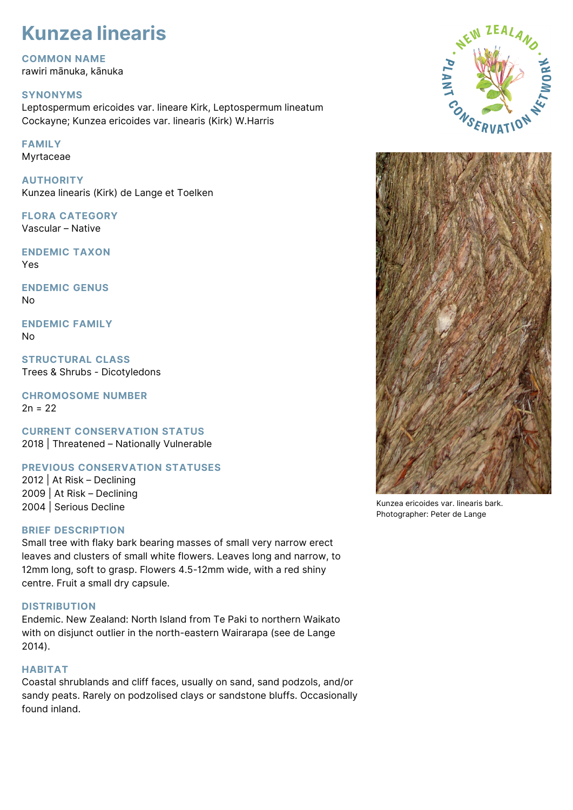# **Kunzea linearis**

**COMMON NAME** rawiri mānuka, kānuka

## **SYNONYMS**

Leptospermum ericoides var. lineare Kirk, Leptospermum lineatum Cockayne; Kunzea ericoides var. linearis (Kirk) W.Harris

## **FAMILY**

Myrtaceae

**AUTHORITY** Kunzea linearis (Kirk) de Lange et Toelken

**FLORA CATEGORY** Vascular – Native

**ENDEMIC TAXON** Yes

**ENDEMIC GENUS** No

**ENDEMIC FAMILY** No

**STRUCTURAL CLASS** Trees & Shrubs - Dicotyledons

**CHROMOSOME NUMBER**  $2n = 22$ 

**CURRENT CONSERVATION STATUS** 2018 | Threatened – Nationally Vulnerable

## **PREVIOUS CONSERVATION STATUSES**

2012 | At Risk – Declining 2009 | At Risk – Declining 2004 | Serious Decline

## **BRIEF DESCRIPTION**

Small tree with flaky bark bearing masses of small very narrow erect leaves and clusters of small white flowers. Leaves long and narrow, to 12mm long, soft to grasp. Flowers 4.5-12mm wide, with a red shiny centre. Fruit a small dry capsule.

## **DISTRIBUTION**

Endemic. New Zealand: North Island from Te Paki to northern Waikato with on disjunct outlier in the north-eastern Wairarapa (see de Lange 2014).

#### **HABITAT**

Coastal shrublands and cliff faces, usually on sand, sand podzols, and/or sandy peats. Rarely on podzolised clays or sandstone bluffs. Occasionally found inland.





Kunzea ericoides var. linearis bark. Photographer: Peter de Lange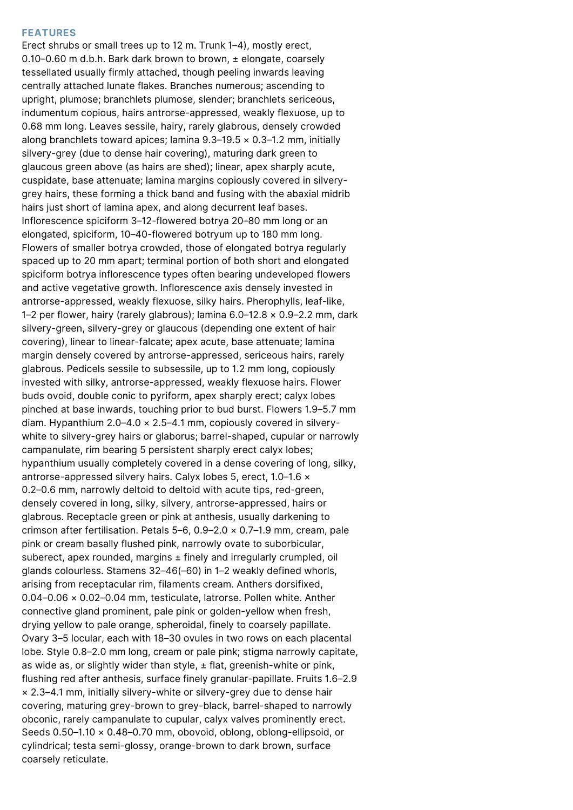#### **FEATURES**

Erect shrubs or small trees up to 12 m. Trunk 1–4), mostly erect, 0.10–0.60 m d.b.h. Bark dark brown to brown, ± elongate, coarsely tessellated usually firmly attached, though peeling inwards leaving centrally attached lunate flakes. Branches numerous; ascending to upright, plumose; branchlets plumose, slender; branchlets sericeous, indumentum copious, hairs antrorse-appressed, weakly flexuose, up to 0.68 mm long. Leaves sessile, hairy, rarely glabrous, densely crowded along branchlets toward apices; lamina  $9.3-19.5 \times 0.3-1.2$  mm, initially silvery-grey (due to dense hair covering), maturing dark green to glaucous green above (as hairs are shed); linear, apex sharply acute, cuspidate, base attenuate; lamina margins copiously covered in silverygrey hairs, these forming a thick band and fusing with the abaxial midrib hairs just short of lamina apex, and along decurrent leaf bases. Inflorescence spiciform 3–12-flowered botrya 20–80 mm long or an elongated, spiciform, 10–40-flowered botryum up to 180 mm long. Flowers of smaller botrya crowded, those of elongated botrya regularly spaced up to 20 mm apart; terminal portion of both short and elongated spiciform botrya inflorescence types often bearing undeveloped flowers and active vegetative growth. Inflorescence axis densely invested in antrorse-appressed, weakly flexuose, silky hairs. Pherophylls, leaf-like, 1–2 per flower, hairy (rarely glabrous); lamina 6.0–12.8 × 0.9–2.2 mm, dark silvery-green, silvery-grey or glaucous (depending one extent of hair covering), linear to linear-falcate; apex acute, base attenuate; lamina margin densely covered by antrorse-appressed, sericeous hairs, rarely glabrous. Pedicels sessile to subsessile, up to 1.2 mm long, copiously invested with silky, antrorse-appressed, weakly flexuose hairs. Flower buds ovoid, double conic to pyriform, apex sharply erect; calyx lobes pinched at base inwards, touching prior to bud burst. Flowers 1.9–5.7 mm diam. Hypanthium  $2.0-4.0 \times 2.5-4.1$  mm, copiously covered in silverywhite to silvery-grey hairs or glaborus; barrel-shaped, cupular or narrowly campanulate, rim bearing 5 persistent sharply erect calyx lobes; hypanthium usually completely covered in a dense covering of long, silky, antrorse-appressed silvery hairs. Calyx lobes 5, erect, 1.0–1.6 × 0.2–0.6 mm, narrowly deltoid to deltoid with acute tips, red-green, densely covered in long, silky, silvery, antrorse-appressed, hairs or glabrous. Receptacle green or pink at anthesis, usually darkening to crimson after fertilisation. Petals 5–6, 0.9–2.0 × 0.7–1.9 mm, cream, pale pink or cream basally flushed pink, narrowly ovate to suborbicular, suberect, apex rounded, margins ± finely and irregularly crumpled, oil glands colourless. Stamens 32–46(–60) in 1–2 weakly defined whorls, arising from receptacular rim, filaments cream. Anthers dorsifixed, 0.04–0.06 × 0.02–0.04 mm, testiculate, latrorse. Pollen white. Anther connective gland prominent, pale pink or golden-yellow when fresh, drying yellow to pale orange, spheroidal, finely to coarsely papillate. Ovary 3–5 locular, each with 18–30 ovules in two rows on each placental lobe. Style 0.8–2.0 mm long, cream or pale pink; stigma narrowly capitate, as wide as, or slightly wider than style,  $\pm$  flat, greenish-white or pink, flushing red after anthesis, surface finely granular-papillate. Fruits 1.6–2.9 × 2.3–4.1 mm, initially silvery-white or silvery-grey due to dense hair covering, maturing grey-brown to grey-black, barrel-shaped to narrowly obconic, rarely campanulate to cupular, calyx valves prominently erect. Seeds 0.50–1.10 × 0.48–0.70 mm, obovoid, oblong, oblong-ellipsoid, or cylindrical; testa semi-glossy, orange-brown to dark brown, surface coarsely reticulate.